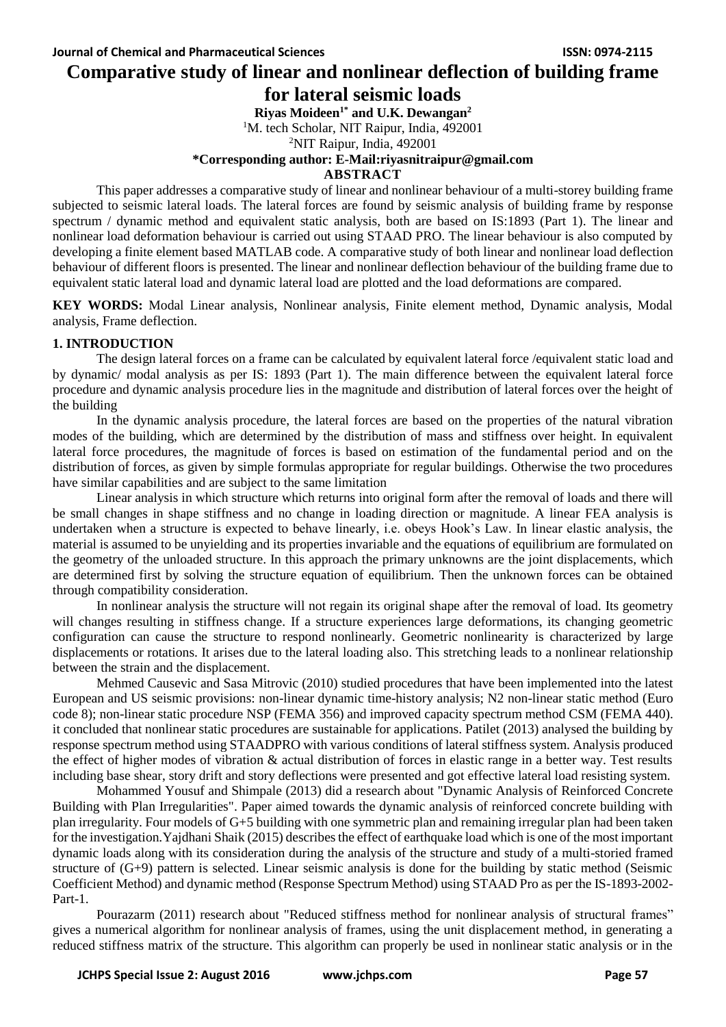# **Comparative study of linear and nonlinear deflection of building frame for lateral seismic loads**

**Riyas Moideen1\* and U.K. Dewangan<sup>2</sup>**

<sup>1</sup>M. tech Scholar, NIT Raipur, India, 492001

<sup>2</sup>NIT Raipur, India, 492001

#### **\*Corresponding author: E-Mail[:riyasnitraipur@gmail.com](mailto:shalemernest@gmail.com)**

**ABSTRACT**

This paper addresses a comparative study of linear and nonlinear behaviour of a multi-storey building frame subjected to seismic lateral loads. The lateral forces are found by seismic analysis of building frame by response spectrum / dynamic method and equivalent static analysis, both are based on IS:1893 (Part 1). The linear and nonlinear load deformation behaviour is carried out using STAAD PRO. The linear behaviour is also computed by developing a finite element based MATLAB code. A comparative study of both linear and nonlinear load deflection behaviour of different floors is presented. The linear and nonlinear deflection behaviour of the building frame due to equivalent static lateral load and dynamic lateral load are plotted and the load deformations are compared.

**KEY WORDS:** Modal Linear analysis, Nonlinear analysis, Finite element method, Dynamic analysis, Modal analysis, Frame deflection.

# **1. INTRODUCTION**

The design lateral forces on a frame can be calculated by equivalent lateral force /equivalent static load and by dynamic/ modal analysis as per IS: 1893 (Part 1). The main difference between the equivalent lateral force procedure and dynamic analysis procedure lies in the magnitude and distribution of lateral forces over the height of the building

In the dynamic analysis procedure, the lateral forces are based on the properties of the natural vibration modes of the building, which are determined by the distribution of mass and stiffness over height. In equivalent lateral force procedures, the magnitude of forces is based on estimation of the fundamental period and on the distribution of forces, as given by simple formulas appropriate for regular buildings. Otherwise the two procedures have similar capabilities and are subject to the same limitation

Linear analysis in which structure which returns into original form after the removal of loads and there will be small changes in shape stiffness and no change in loading direction or magnitude. A linear FEA analysis is undertaken when a structure is expected to behave linearly, i.e. obeys Hook's Law. In linear elastic analysis, the material is assumed to be unyielding and its properties invariable and the equations of equilibrium are formulated on the geometry of the unloaded structure. In this approach the primary unknowns are the joint displacements, which are determined first by solving the structure equation of equilibrium. Then the unknown forces can be obtained through compatibility consideration.

In nonlinear analysis the structure will not regain its original shape after the removal of load. Its geometry will changes resulting in stiffness change. If a structure experiences large deformations, its changing geometric configuration can cause the structure to respond nonlinearly. Geometric nonlinearity is characterized by large displacements or rotations. It arises due to the lateral loading also. This stretching leads to a nonlinear relationship between the strain and the displacement.

Mehmed Causevic and Sasa Mitrovic (2010) studied procedures that have been implemented into the latest European and US seismic provisions: non-linear dynamic time-history analysis; N2 non-linear static method (Euro code 8); non-linear static procedure NSP (FEMA 356) and improved capacity spectrum method CSM (FEMA 440). it concluded that nonlinear static procedures are sustainable for applications. Patilet (2013) analysed the building by response spectrum method using STAADPRO with various conditions of lateral stiffness system. Analysis produced the effect of higher modes of vibration & actual distribution of forces in elastic range in a better way. Test results including base shear, story drift and story deflections were presented and got effective lateral load resisting system.

Mohammed Yousuf and Shimpale (2013) did a research about "Dynamic Analysis of Reinforced Concrete Building with Plan Irregularities". Paper aimed towards the dynamic analysis of reinforced concrete building with plan irregularity. Four models of G+5 building with one symmetric plan and remaining irregular plan had been taken for the investigation.Yajdhani Shaik (2015) describes the effect of earthquake load which is one of the most important dynamic loads along with its consideration during the analysis of the structure and study of a multi-storied framed structure of (G+9) pattern is selected. Linear seismic analysis is done for the building by static method (Seismic Coefficient Method) and dynamic method (Response Spectrum Method) using STAAD Pro as per the IS-1893-2002- Part-1.

Pourazarm (2011) research about "Reduced stiffness method for nonlinear analysis of structural frames" gives a numerical algorithm for nonlinear analysis of frames, using the unit displacement method, in generating a reduced stiffness matrix of the structure. This algorithm can properly be used in nonlinear static analysis or in the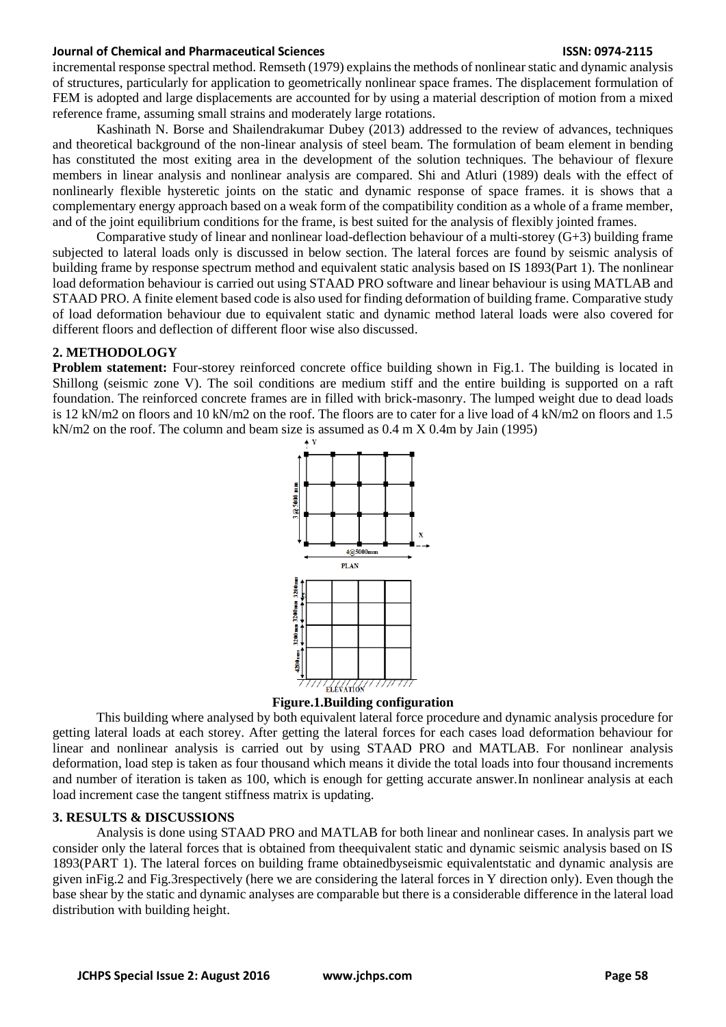#### **Journal of Chemical and Pharmaceutical Sciences ISSN: 0974-2115**

incremental response spectral method. Remseth (1979) explains the methods of nonlinear static and dynamic analysis of structures, particularly for application to geometrically nonlinear space frames. The displacement formulation of FEM is adopted and large displacements are accounted for by using a material description of motion from a mixed reference frame, assuming small strains and moderately large rotations.

Kashinath N. Borse and Shailendrakumar Dubey (2013) addressed to the review of advances, techniques and theoretical background of the non-linear analysis of steel beam. The formulation of beam element in bending has constituted the most exiting area in the development of the solution techniques. The behaviour of flexure members in linear analysis and nonlinear analysis are compared. Shi and Atluri (1989) deals with the effect of nonlinearly flexible hysteretic joints on the static and dynamic response of space frames. it is shows that a complementary energy approach based on a weak form of the compatibility condition as a whole of a frame member, and of the joint equilibrium conditions for the frame, is best suited for the analysis of flexibly jointed frames.

Comparative study of linear and nonlinear load-deflection behaviour of a multi-storey  $(G+3)$  building frame subjected to lateral loads only is discussed in below section. The lateral forces are found by seismic analysis of building frame by response spectrum method and equivalent static analysis based on IS 1893(Part 1). The nonlinear load deformation behaviour is carried out using STAAD PRO software and linear behaviour is using MATLAB and STAAD PRO. A finite element based code is also used for finding deformation of building frame. Comparative study of load deformation behaviour due to equivalent static and dynamic method lateral loads were also covered for different floors and deflection of different floor wise also discussed.

# **2. METHODOLOGY**

**Problem statement:** Four-storey reinforced concrete office building shown in Fig.1. The building is located in Shillong (seismic zone V). The soil conditions are medium stiff and the entire building is supported on a raft foundation. The reinforced concrete frames are in filled with brick-masonry. The lumped weight due to dead loads is 12 kN/m2 on floors and 10 kN/m2 on the roof. The floors are to cater for a live load of 4 kN/m2 on floors and 1.5 kN/m2 on the roof. The column and beam size is assumed as 0.4 m X 0.4m by Jain (1995)



**Figure.1.Building configuration**

This building where analysed by both equivalent lateral force procedure and dynamic analysis procedure for getting lateral loads at each storey. After getting the lateral forces for each cases load deformation behaviour for linear and nonlinear analysis is carried out by using STAAD PRO and MATLAB. For nonlinear analysis deformation, load step is taken as four thousand which means it divide the total loads into four thousand increments and number of iteration is taken as 100, which is enough for getting accurate answer.In nonlinear analysis at each load increment case the tangent stiffness matrix is updating.

# **3. RESULTS & DISCUSSIONS**

Analysis is done using STAAD PRO and MATLAB for both linear and nonlinear cases. In analysis part we consider only the lateral forces that is obtained from theequivalent static and dynamic seismic analysis based on IS 1893(PART 1). The lateral forces on building frame obtainedbyseismic equivalentstatic and dynamic analysis are given inFig.2 and Fig.3respectively (here we are considering the lateral forces in Y direction only). Even though the base shear by the static and dynamic analyses are comparable but there is a considerable difference in the lateral load distribution with building height.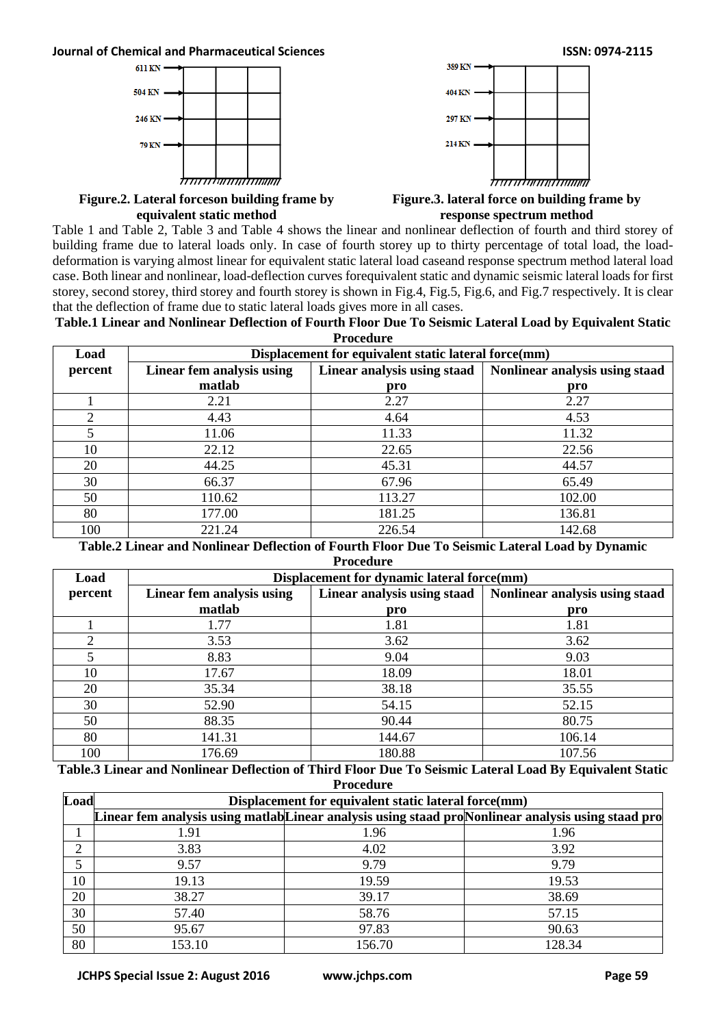### **Journal of Chemical and Pharmaceutical Sciences ISSN: 0974-2115**



**Figure.2. Lateral forceson building frame by equivalent static method**



# **Figure.3. lateral force on building frame by response spectrum method**

Table 1 and Table 2, Table 3 and Table 4 shows the linear and nonlinear deflection of fourth and third storey of building frame due to lateral loads only. In case of fourth storey up to thirty percentage of total load, the loaddeformation is varying almost linear for equivalent static lateral load caseand response spectrum method lateral load case. Both linear and nonlinear, load-deflection curves forequivalent static and dynamic seismic lateral loads for first storey, second storey, third storey and fourth storey is shown in Fig.4, Fig.5, Fig.6, and Fig.7 respectively. It is clear that the deflection of frame due to static lateral loads gives more in all cases.

#### **Table.1 Linear and Nonlinear Deflection of Fourth Floor Due To Seismic Lateral Load by Equivalent Static Procedure**

| Load    | Displacement for equivalent static lateral force(mm) |                             |                                |  |
|---------|------------------------------------------------------|-----------------------------|--------------------------------|--|
| percent | Linear fem analysis using                            | Linear analysis using staad | Nonlinear analysis using staad |  |
|         | matlab                                               | pro                         | pro                            |  |
|         | 2.21                                                 | 2.27                        | 2.27                           |  |
| 2       | 4.43                                                 | 4.64                        | 4.53                           |  |
| 5       | 11.06                                                | 11.33                       | 11.32                          |  |
| 10      | 22.12                                                | 22.65                       | 22.56                          |  |
| 20      | 44.25                                                | 45.31                       | 44.57                          |  |
| 30      | 66.37                                                | 67.96                       | 65.49                          |  |
| 50      | 110.62                                               | 113.27                      | 102.00                         |  |
| 80      | 177.00                                               | 181.25                      | 136.81                         |  |
| 100     | 221.24                                               | 226.54                      | 142.68                         |  |

**Table.2 Linear and Nonlinear Deflection of Fourth Floor Due To Seismic Lateral Load by Dynamic Procedure**

| Load    | Displacement for dynamic lateral force(mm) |                             |                                |  |
|---------|--------------------------------------------|-----------------------------|--------------------------------|--|
| percent | Linear fem analysis using                  | Linear analysis using staad | Nonlinear analysis using staad |  |
|         | matlab                                     | pro                         | pro                            |  |
|         | 1.77                                       | 1.81                        | 1.81                           |  |
| ◠       | 3.53                                       | 3.62                        | 3.62                           |  |
| 5       | 8.83                                       | 9.04                        | 9.03                           |  |
| 10      | 17.67                                      | 18.09                       | 18.01                          |  |
| 20      | 35.34                                      | 38.18                       | 35.55                          |  |
| 30      | 52.90                                      | 54.15                       | 52.15                          |  |
| 50      | 88.35                                      | 90.44                       | 80.75                          |  |
| 80      | 141.31                                     | 144.67                      | 106.14                         |  |
| 100     | 176.69                                     | 180.88                      | 107.56                         |  |

**Table.3 Linear and Nonlinear Deflection of Third Floor Due To Seismic Lateral Load By Equivalent Static Procedure**

| Load | Displacement for equivalent static lateral force(mm) |        |                                                                                                    |  |
|------|------------------------------------------------------|--------|----------------------------------------------------------------------------------------------------|--|
|      |                                                      |        | Linear fem analysis using matlab Linear analysis using staad proNonlinear analysis using staad pro |  |
|      | 1.91                                                 | 1.96   | 1.96                                                                                               |  |
| ◠    | 3.83                                                 | 4.02   | 3.92                                                                                               |  |
|      | 9.57                                                 | 9.79   | 9.79                                                                                               |  |
| 10   | 19.13                                                | 19.59  | 19.53                                                                                              |  |
| 20   | 38.27                                                | 39.17  | 38.69                                                                                              |  |
| 30   | 57.40                                                | 58.76  | 57.15                                                                                              |  |
| 50   | 95.67                                                | 97.83  | 90.63                                                                                              |  |
| 80   | 153.10                                               | 156.70 | 128.34                                                                                             |  |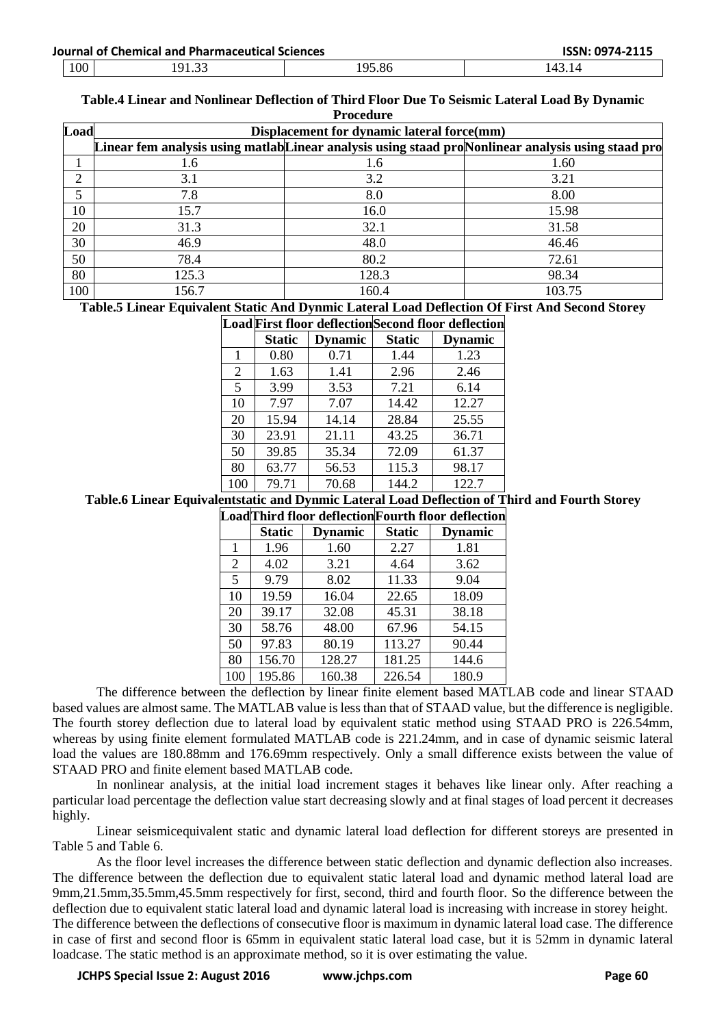| Journal of Chemical and Pharmaceutical Sciences |     |       | ISSN: 0974-2115 |        |
|-------------------------------------------------|-----|-------|-----------------|--------|
|                                                 | 100 | ,,,,, | 95.86           | $14^2$ |

#### **Table.4 Linear and Nonlinear Deflection of Third Floor Due To Seismic Lateral Load By Dynamic Procedure**

| Load | Displacement for dynamic lateral force(mm) |       |                                                                                                    |  |
|------|--------------------------------------------|-------|----------------------------------------------------------------------------------------------------|--|
|      |                                            |       | Linear fem analysis using matlab Linear analysis using staad proNonlinear analysis using staad pro |  |
|      | 1.6                                        | 1.6   | 1.60                                                                                               |  |
| ◠    | 3.1                                        | 3.2   | 3.21                                                                                               |  |
| 5    | 7.8                                        | 8.0   | 8.00                                                                                               |  |
| 10   | 15.7                                       | 16.0  | 15.98                                                                                              |  |
| 20   | 31.3                                       | 32.1  | 31.58                                                                                              |  |
| 30   | 46.9                                       | 48.0  | 46.46                                                                                              |  |
| 50   | 78.4                                       | 80.2  | 72.61                                                                                              |  |
| 80   | 125.3                                      | 128.3 | 98.34                                                                                              |  |
| 100  | 156.7                                      | 160.4 | 103.75                                                                                             |  |

### **Table.5 Linear Equivalent Static And Dynmic Lateral Load Deflection Of First And Second Storey**

| <b>LoadFirst floor deflectionSecond floor deflection</b> |               |                |               |                |
|----------------------------------------------------------|---------------|----------------|---------------|----------------|
|                                                          | <b>Static</b> | <b>Dynamic</b> | <b>Static</b> | <b>Dynamic</b> |
| 1                                                        | 0.80          | 0.71           | 1.44          | 1.23           |
| 2                                                        | 1.63          | 1.41           | 2.96          | 2.46           |
| 5                                                        | 3.99          | 3.53           | 7.21          | 6.14           |
| 10                                                       | 7.97          | 7.07           | 14.42         | 12.27          |
| 20                                                       | 15.94         | 14.14          | 28.84         | 25.55          |
| 30                                                       | 23.91         | 21.11          | 43.25         | 36.71          |
| 50                                                       | 39.85         | 35.34          | 72.09         | 61.37          |
| 80                                                       | 63.77         | 56.53          | 115.3         | 98.17          |
| 100                                                      | 79.71         | 70.68          | 144.2         | 122.7          |

#### **Table.6 Linear Equivalentstatic and Dynmic Lateral Load Deflection of Third and Fourth Storey LoadThird floor deflectionFourth floor deflection**

|     | iloaqi mirgi moof qumuuniin odi in moof qumuunii |                |               |                |
|-----|--------------------------------------------------|----------------|---------------|----------------|
|     | <b>Static</b>                                    | <b>Dynamic</b> | <b>Static</b> | <b>Dynamic</b> |
| 1   | 1.96                                             | 1.60           | 2.27          | 1.81           |
| 2   | 4.02                                             | 3.21           | 4.64          | 3.62           |
| 5   | 9.79                                             | 8.02           | 11.33         | 9.04           |
| 10  | 19.59                                            | 16.04          | 22.65         | 18.09          |
| 20  | 39.17                                            | 32.08          | 45.31         | 38.18          |
| 30  | 58.76                                            | 48.00          | 67.96         | 54.15          |
| 50  | 97.83                                            | 80.19          | 113.27        | 90.44          |
| 80  | 156.70                                           | 128.27         | 181.25        | 144.6          |
| 100 | 195.86                                           | 160.38         | 226.54        | 180.9          |

The difference between the deflection by linear finite element based MATLAB code and linear STAAD based values are almost same. The MATLAB value is less than that of STAAD value, but the difference is negligible. The fourth storey deflection due to lateral load by equivalent static method using STAAD PRO is 226.54mm, whereas by using finite element formulated MATLAB code is 221.24mm, and in case of dynamic seismic lateral load the values are 180.88mm and 176.69mm respectively. Only a small difference exists between the value of STAAD PRO and finite element based MATLAB code.

In nonlinear analysis, at the initial load increment stages it behaves like linear only. After reaching a particular load percentage the deflection value start decreasing slowly and at final stages of load percent it decreases highly.

Linear seismicequivalent static and dynamic lateral load deflection for different storeys are presented in Table 5 and Table 6.

As the floor level increases the difference between static deflection and dynamic deflection also increases. The difference between the deflection due to equivalent static lateral load and dynamic method lateral load are 9mm,21.5mm,35.5mm,45.5mm respectively for first, second, third and fourth floor. So the difference between the deflection due to equivalent static lateral load and dynamic lateral load is increasing with increase in storey height. The difference between the deflections of consecutive floor is maximum in dynamic lateral load case. The difference

in case of first and second floor is 65mm in equivalent static lateral load case, but it is 52mm in dynamic lateral loadcase. The static method is an approximate method, so it is over estimating the value.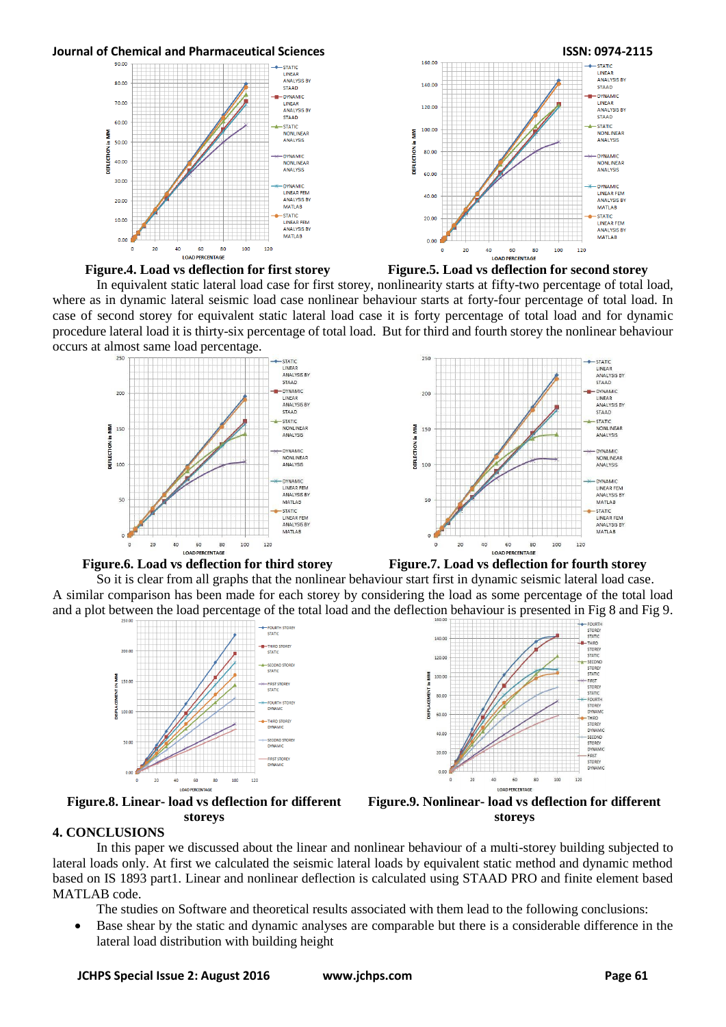





In equivalent static lateral load case for first storey, nonlinearity starts at fifty-two percentage of total load, where as in dynamic lateral seismic load case nonlinear behaviour starts at forty-four percentage of total load. In case of second storey for equivalent static lateral load case it is forty percentage of total load and for dynamic procedure lateral load it is thirty-six percentage of total load. But for third and fourth storey the nonlinear behaviour occurs at almost same load percentage.









So it is clear from all graphs that the nonlinear behaviour start first in dynamic seismic lateral load case. A similar comparison has been made for each storey by considering the load as some percentage of the total load and a plot between the load percentage of the total load and the deflection behaviour is presented in Fig 8 and Fig 9.



**Figure.8. Linear- load vs deflection for different storeys**



**Figure.9. Nonlinear- load vs deflection for different storeys**

# **4. CONCLUSIONS**

In this paper we discussed about the linear and nonlinear behaviour of a multi-storey building subjected to lateral loads only. At first we calculated the seismic lateral loads by equivalent static method and dynamic method based on IS 1893 part1. Linear and nonlinear deflection is calculated using STAAD PRO and finite element based MATLAB code.

The studies on Software and theoretical results associated with them lead to the following conclusions:

 Base shear by the static and dynamic analyses are comparable but there is a considerable difference in the lateral load distribution with building height